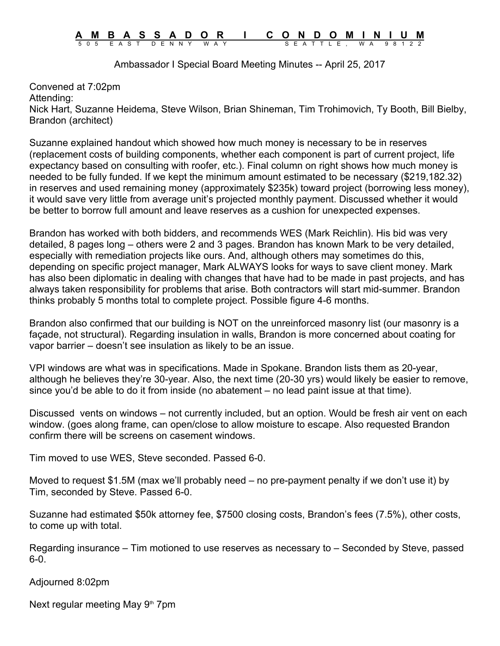## **A M B A S S A D O R I C O N D O M I N I U M** 5 0 5 E A S T D E N N Y W A Y S E A T T L E , W A 9 8 1 2 2

Ambassador I Special Board Meeting Minutes -- April 25, 2017

Convened at 7:02pm Attending: Nick Hart, Suzanne Heidema, Steve Wilson, Brian Shineman, Tim Trohimovich, Ty Booth, Bill Bielby, Brandon (architect)

Suzanne explained handout which showed how much money is necessary to be in reserves (replacement costs of building components, whether each component is part of current project, life expectancy based on consulting with roofer, etc.). Final column on right shows how much money is needed to be fully funded. If we kept the minimum amount estimated to be necessary (\$219,182.32) in reserves and used remaining money (approximately \$235k) toward project (borrowing less money), it would save very little from average unit's projected monthly payment. Discussed whether it would be better to borrow full amount and leave reserves as a cushion for unexpected expenses.

Brandon has worked with both bidders, and recommends WES (Mark Reichlin). His bid was very detailed, 8 pages long – others were 2 and 3 pages. Brandon has known Mark to be very detailed, especially with remediation projects like ours. And, although others may sometimes do this, depending on specific project manager, Mark ALWAYS looks for ways to save client money. Mark has also been diplomatic in dealing with changes that have had to be made in past projects, and has always taken responsibility for problems that arise. Both contractors will start mid-summer. Brandon thinks probably 5 months total to complete project. Possible figure 4-6 months.

Brandon also confirmed that our building is NOT on the unreinforced masonry list (our masonry is a façade, not structural). Regarding insulation in walls, Brandon is more concerned about coating for vapor barrier – doesn't see insulation as likely to be an issue.

VPI windows are what was in specifications. Made in Spokane. Brandon lists them as 20-year, although he believes they're 30-year. Also, the next time (20-30 yrs) would likely be easier to remove, since you'd be able to do it from inside (no abatement – no lead paint issue at that time).

Discussed vents on windows – not currently included, but an option. Would be fresh air vent on each window. (goes along frame, can open/close to allow moisture to escape. Also requested Brandon confirm there will be screens on casement windows.

Tim moved to use WES, Steve seconded. Passed 6-0.

Moved to request \$1.5M (max we'll probably need – no pre-payment penalty if we don't use it) by Tim, seconded by Steve. Passed 6-0.

Suzanne had estimated \$50k attorney fee, \$7500 closing costs, Brandon's fees (7.5%), other costs, to come up with total.

Regarding insurance – Tim motioned to use reserves as necessary to – Seconded by Steve, passed 6-0.

Adjourned 8:02pm

Next regular meeting May  $9<sup>th</sup>$  7pm